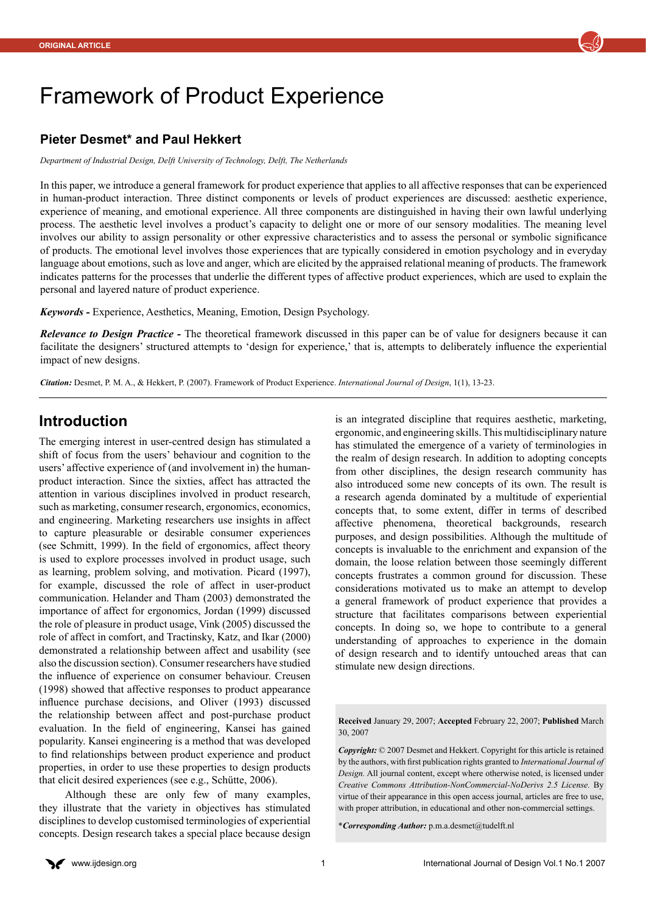

# Framework of Product Experience

#### **Pieter Desmet\* and Paul Hekkert**

*Department of Industrial Design, Delft University of Technology, Delft, The Netherlands*

In this paper, we introduce a general framework for product experience that applies to all affective responses that can be experienced in human-product interaction. Three distinct components or levels of product experiences are discussed: aesthetic experience, experience of meaning, and emotional experience. All three components are distinguished in having their own lawful underlying process. The aesthetic level involves a product's capacity to delight one or more of our sensory modalities. The meaning level involves our ability to assign personality or other expressive characteristics and to assess the personal or symbolic significance of products. The emotional level involves those experiences that are typically considered in emotion psychology and in everyday language about emotions, such as love and anger, which are elicited by the appraised relational meaning of products. The framework indicates patterns for the processes that underlie the different types of affective product experiences, which are used to explain the personal and layered nature of product experience.

*Keywords -* Experience, Aesthetics, Meaning, Emotion, Design Psychology.

*Relevance to Design Practice -* The theoretical framework discussed in this paper can be of value for designers because it can facilitate the designers' structured attempts to 'design for experience,' that is, attempts to deliberately influence the experiential impact of new designs.

*Citation:* Desmet, P. M. A., & Hekkert, P. (2007). Framework of Product Experience. *International Journal of Design*, 1(1), 13-23.

### **Introduction**

The emerging interest in user-centred design has stimulated a shift of focus from the users' behaviour and cognition to the users' affective experience of (and involvement in) the humanproduct interaction. Since the sixties, affect has attracted the attention in various disciplines involved in product research, such as marketing, consumer research, ergonomics, economics, and engineering. Marketing researchers use insights in affect to capture pleasurable or desirable consumer experiences (see Schmitt, 1999). In the field of ergonomics, affect theory is used to explore processes involved in product usage, such as learning, problem solving, and motivation. Picard (1997), for example, discussed the role of affect in user-product communication. Helander and Tham (2003) demonstrated the importance of affect for ergonomics, Jordan (1999) discussed the role of pleasure in product usage, Vink (2005) discussed the role of affect in comfort, and Tractinsky, Katz, and Ikar (2000) demonstrated a relationship between affect and usability (see also the discussion section). Consumer researchers have studied the influence of experience on consumer behaviour. Creusen (1998) showed that affective responses to product appearance influence purchase decisions, and Oliver (1993) discussed the relationship between affect and post-purchase product evaluation. In the field of engineering, Kansei has gained popularity. Kansei engineering is a method that was developed to find relationships between product experience and product properties, in order to use these properties to design products that elicit desired experiences (see e.g., Schütte, 2006).

Although these are only few of many examples, they illustrate that the variety in objectives has stimulated disciplines to develop customised terminologies of experiential concepts. Design research takes a special place because design

is an integrated discipline that requires aesthetic, marketing, ergonomic, and engineering skills. This multidisciplinary nature has stimulated the emergence of a variety of terminologies in the realm of design research. In addition to adopting concepts from other disciplines, the design research community has also introduced some new concepts of its own. The result is a research agenda dominated by a multitude of experiential concepts that, to some extent, differ in terms of described affective phenomena, theoretical backgrounds, research purposes, and design possibilities. Although the multitude of concepts is invaluable to the enrichment and expansion of the domain, the loose relation between those seemingly different concepts frustrates a common ground for discussion. These considerations motivated us to make an attempt to develop a general framework of product experience that provides a structure that facilitates comparisons between experiential concepts. In doing so, we hope to contribute to a general understanding of approaches to experience in the domain of design research and to identify untouched areas that can stimulate new design directions.

**Received** January 29, 2007; **Accepted** February 22, 2007; **Published** March 30, 2007

*Copyright:* © 2007 Desmet and Hekkert. Copyright for this article is retained by the authors, with first publication rights granted to *International Journal of Design.* All journal content, except where otherwise noted, is licensed under *Creative Commons Attribution-NonCommercial-NoDerivs 2.5 License.* By virtue of their appearance in this open access journal, articles are free to use, with proper attribution, in educational and other non-commercial settings.

\**Corresponding Author:* [p.m.a.desmet@tudelft.nl](mailto:p.m.a.desmet@tudelft.nl)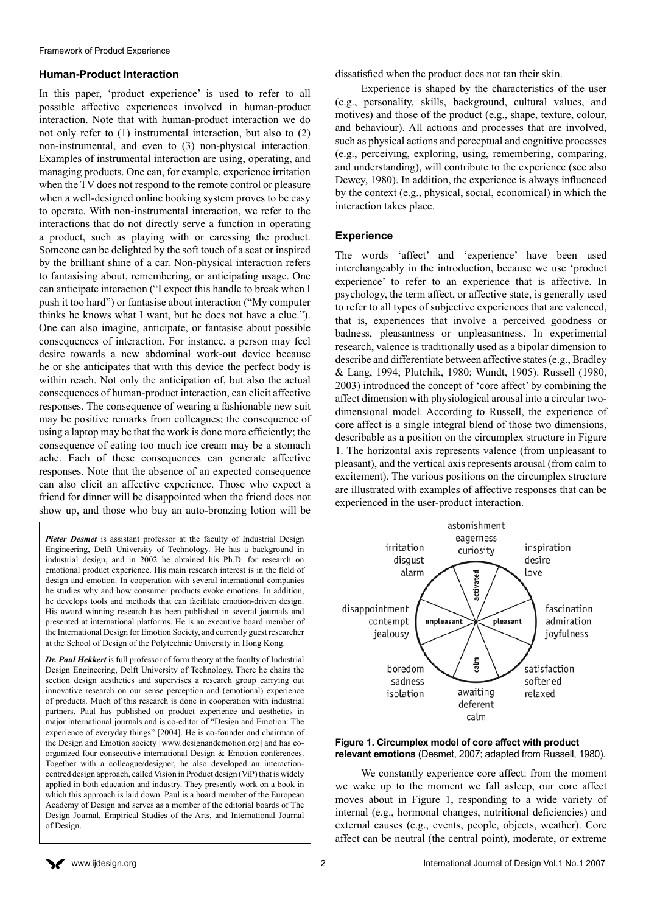#### **Human-Product Interaction**

In this paper, 'product experience' is used to refer to all possible affective experiences involved in human-product interaction. Note that with human-product interaction we do not only refer to (1) instrumental interaction, but also to (2) non-instrumental, and even to (3) non-physical interaction. Examples of instrumental interaction are using, operating, and managing products. One can, for example, experience irritation when the TV does not respond to the remote control or pleasure when a well-designed online booking system proves to be easy to operate. With non-instrumental interaction, we refer to the interactions that do not directly serve a function in operating a product, such as playing with or caressing the product. Someone can be delighted by the soft touch of a seat or inspired by the brilliant shine of a car. Non-physical interaction refers to fantasising about, remembering, or anticipating usage. One can anticipate interaction ("I expect this handle to break when I push it too hard") or fantasise about interaction ("My computer thinks he knows what I want, but he does not have a clue."). One can also imagine, anticipate, or fantasise about possible consequences of interaction. For instance, a person may feel desire towards a new abdominal work-out device because he or she anticipates that with this device the perfect body is within reach. Not only the anticipation of, but also the actual consequences of human-product interaction, can elicit affective responses. The consequence of wearing a fashionable new suit may be positive remarks from colleagues; the consequence of using a laptop may be that the work is done more efficiently; the consequence of eating too much ice cream may be a stomach ache. Each of these consequences can generate affective responses. Note that the absence of an expected consequence can also elicit an affective experience. Those who expect a friend for dinner will be disappointed when the friend does not show up, and those who buy an auto-bronzing lotion will be

*Pieter Desmet* is assistant professor at the faculty of Industrial Design Engineering, Delft University of Technology. He has a background in industrial design, and in 2002 he obtained his Ph.D. for research on emotional product experience. His main research interest is in the field of design and emotion. In cooperation with several international companies he studies why and how consumer products evoke emotions. In addition, he develops tools and methods that can facilitate emotion-driven design. His award winning research has been published in several journals and presented at international platforms. He is an executive board member of the International Design for Emotion Society, and currently guest researcher at the School of Design of the Polytechnic University in Hong Kong.

*Dr. Paul Hekkert* is full professor of form theory at the faculty of Industrial Design Engineering, Delft University of Technology. There he chairs the section design aesthetics and supervises a research group carrying out innovative research on our sense perception and (emotional) experience of products. Much of this research is done in cooperation with industrial partners. Paul has published on product experience and aesthetics in major international journals and is co-editor of "Design and Emotion: The experience of everyday things" [2004]. He is co-founder and chairman of the Design and Emotion society [[www.designandemotion.org](http://www.designandemotion.org)] and has coorganized four consecutive international Design & Emotion conferences. Together with a colleague/designer, he also developed an interactioncentred design approach, called Vision in Product design (ViP) that is widely applied in both education and industry. They presently work on a book in which this approach is laid down. Paul is a board member of the European Academy of Design and serves as a member of the editorial boards of The Design Journal, Empirical Studies of the Arts, and International Journal of Design.

dissatisfied when the product does not tan their skin.

Experience is shaped by the characteristics of the user (e.g., personality, skills, background, cultural values, and motives) and those of the product (e.g., shape, texture, colour, and behaviour). All actions and processes that are involved, such as physical actions and perceptual and cognitive processes (e.g., perceiving, exploring, using, remembering, comparing, and understanding), will contribute to the experience (see also Dewey, 1980). In addition, the experience is always influenced by the context (e.g., physical, social, economical) in which the interaction takes place.

#### **Experience**

The words 'affect' and 'experience' have been used interchangeably in the introduction, because we use 'product experience' to refer to an experience that is affective. In psychology, the term affect, or affective state, is generally used to refer to all types of subjective experiences that are valenced, that is, experiences that involve a perceived goodness or badness, pleasantness or unpleasantness. In experimental research, valence is traditionally used as a bipolar dimension to describe and differentiate between affective states (e.g., Bradley & Lang, 1994; Plutchik, 1980; Wundt, 1905). Russell (1980, 2003) introduced the concept of 'core affect' by combining the affect dimension with physiological arousal into a circular twodimensional model. According to Russell, the experience of core affect is a single integral blend of those two dimensions, describable as a position on the circumplex structure in Figure 1. The horizontal axis represents valence (from unpleasant to pleasant), and the vertical axis represents arousal (from calm to excitement). The various positions on the circumplex structure are illustrated with examples of affective responses that can be experienced in the user-product interaction.



**Figure 1. Circumplex model of core affect with product relevant emotions** (Desmet, 2007; adapted from Russell, 1980).

We constantly experience core affect: from the moment we wake up to the moment we fall asleep, our core affect moves about in Figure 1, responding to a wide variety of internal (e.g., hormonal changes, nutritional deficiencies) and external causes (e.g., events, people, objects, weather). Core affect can be neutral (the central point), moderate, or extreme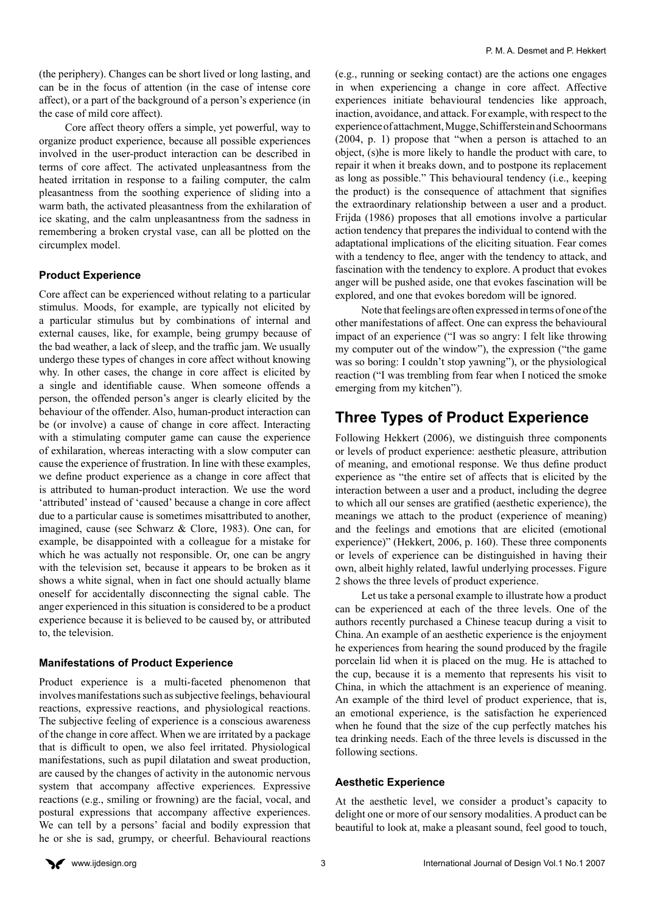(the periphery). Changes can be short lived or long lasting, and can be in the focus of attention (in the case of intense core affect), or a part of the background of a person's experience (in the case of mild core affect).

Core affect theory offers a simple, yet powerful, way to organize product experience, because all possible experiences involved in the user-product interaction can be described in terms of core affect. The activated unpleasantness from the heated irritation in response to a failing computer, the calm pleasantness from the soothing experience of sliding into a warm bath, the activated pleasantness from the exhilaration of ice skating, and the calm unpleasantness from the sadness in remembering a broken crystal vase, can all be plotted on the circumplex model.

#### **Product Experience**

Core affect can be experienced without relating to a particular stimulus. Moods, for example, are typically not elicited by a particular stimulus but by combinations of internal and external causes, like, for example, being grumpy because of the bad weather, a lack of sleep, and the traffic jam. We usually undergo these types of changes in core affect without knowing why. In other cases, the change in core affect is elicited by a single and identifiable cause. When someone offends a person, the offended person's anger is clearly elicited by the behaviour of the offender. Also, human-product interaction can be (or involve) a cause of change in core affect. Interacting with a stimulating computer game can cause the experience of exhilaration, whereas interacting with a slow computer can cause the experience of frustration. In line with these examples, we define product experience as a change in core affect that is attributed to human-product interaction. We use the word 'attributed' instead of 'caused' because a change in core affect due to a particular cause is sometimes misattributed to another, imagined, cause (see Schwarz & Clore, 1983). One can, for example, be disappointed with a colleague for a mistake for which he was actually not responsible. Or, one can be angry with the television set, because it appears to be broken as it shows a white signal, when in fact one should actually blame oneself for accidentally disconnecting the signal cable. The anger experienced in this situation is considered to be a product experience because it is believed to be caused by, or attributed to, the television.

#### **Manifestations of Product Experience**

Product experience is a multi-faceted phenomenon that involves manifestations such as subjective feelings, behavioural reactions, expressive reactions, and physiological reactions. The subjective feeling of experience is a conscious awareness of the change in core affect. When we are irritated by a package that is difficult to open, we also feel irritated. Physiological manifestations, such as pupil dilatation and sweat production, are caused by the changes of activity in the autonomic nervous system that accompany affective experiences. Expressive reactions (e.g., smiling or frowning) are the facial, vocal, and postural expressions that accompany affective experiences. We can tell by a persons' facial and bodily expression that he or she is sad, grumpy, or cheerful. Behavioural reactions (e.g., running or seeking contact) are the actions one engages in when experiencing a change in core affect. Affective experiences initiate behavioural tendencies like approach, inaction, avoidance, and attack. For example, with respect to the experience of attachment, Mugge, Schifferstein and Schoormans (2004, p. 1) propose that "when a person is attached to an object, (s)he is more likely to handle the product with care, to repair it when it breaks down, and to postpone its replacement as long as possible." This behavioural tendency (i.e., keeping the product) is the consequence of attachment that signifies the extraordinary relationship between a user and a product. Frijda (1986) proposes that all emotions involve a particular action tendency that prepares the individual to contend with the adaptational implications of the eliciting situation. Fear comes with a tendency to flee, anger with the tendency to attack, and fascination with the tendency to explore. A product that evokes anger will be pushed aside, one that evokes fascination will be explored, and one that evokes boredom will be ignored.

Note that feelings are often expressed in terms of one of the other manifestations of affect. One can express the behavioural impact of an experience ("I was so angry: I felt like throwing my computer out of the window"), the expression ("the game was so boring: I couldn't stop yawning"), or the physiological reaction ("I was trembling from fear when I noticed the smoke emerging from my kitchen").

# **Three Types of Product Experience**

Following Hekkert (2006), we distinguish three components or levels of product experience: aesthetic pleasure, attribution of meaning, and emotional response. We thus define product experience as "the entire set of affects that is elicited by the interaction between a user and a product, including the degree to which all our senses are gratified (aesthetic experience), the meanings we attach to the product (experience of meaning) and the feelings and emotions that are elicited (emotional experience)" (Hekkert, 2006, p. 160). These three components or levels of experience can be distinguished in having their own, albeit highly related, lawful underlying processes. Figure 2 shows the three levels of product experience.

Let us take a personal example to illustrate how a product can be experienced at each of the three levels. One of the authors recently purchased a Chinese teacup during a visit to China. An example of an aesthetic experience is the enjoyment he experiences from hearing the sound produced by the fragile porcelain lid when it is placed on the mug. He is attached to the cup, because it is a memento that represents his visit to China, in which the attachment is an experience of meaning. An example of the third level of product experience, that is, an emotional experience, is the satisfaction he experienced when he found that the size of the cup perfectly matches his tea drinking needs. Each of the three levels is discussed in the following sections.

#### **Aesthetic Experience**

At the aesthetic level, we consider a product's capacity to delight one or more of our sensory modalities. A product can be beautiful to look at, make a pleasant sound, feel good to touch,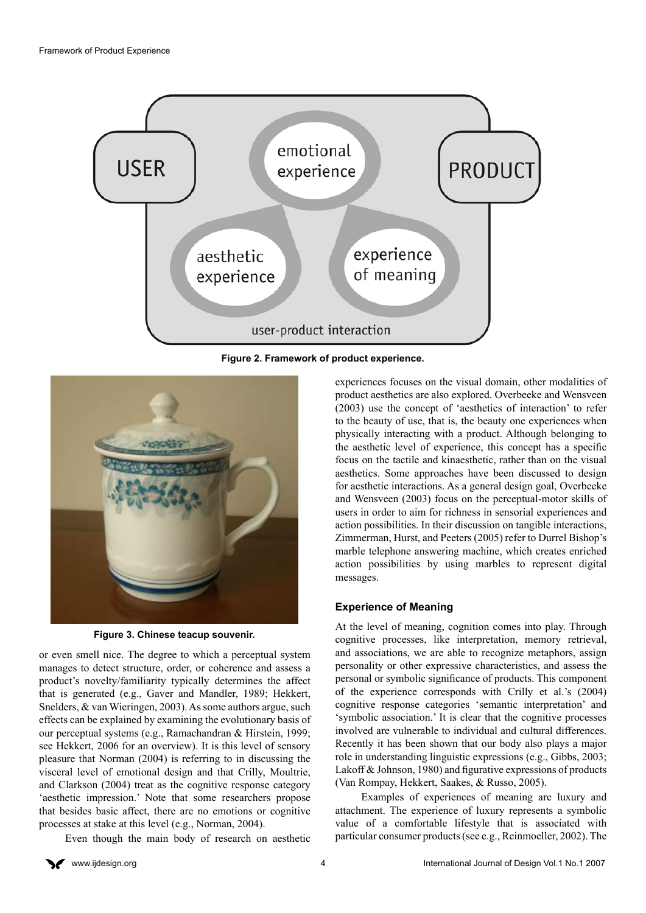

**Figure 2. Framework of product experience.**



**Figure 3. Chinese teacup souvenir.**

or even smell nice. The degree to which a perceptual system manages to detect structure, order, or coherence and assess a product's novelty/familiarity typically determines the affect that is generated (e.g., Gaver and Mandler, 1989; Hekkert, Snelders, & van Wieringen, 2003). As some authors argue, such effects can be explained by examining the evolutionary basis of our perceptual systems (e.g., Ramachandran & Hirstein, 1999; see Hekkert, 2006 for an overview). It is this level of sensory pleasure that Norman (2004) is referring to in discussing the visceral level of emotional design and that Crilly, Moultrie, and Clarkson (2004) treat as the cognitive response category 'aesthetic impression.' Note that some researchers propose that besides basic affect, there are no emotions or cognitive processes at stake at this level (e.g., Norman, 2004).

Even though the main body of research on aesthetic

experiences focuses on the visual domain, other modalities of product aesthetics are also explored. Overbeeke and Wensveen (2003) use the concept of 'aesthetics of interaction' to refer to the beauty of use, that is, the beauty one experiences when physically interacting with a product. Although belonging to the aesthetic level of experience, this concept has a specific focus on the tactile and kinaesthetic, rather than on the visual aesthetics. Some approaches have been discussed to design for aesthetic interactions. As a general design goal, Overbeeke and Wensveen (2003) focus on the perceptual-motor skills of users in order to aim for richness in sensorial experiences and action possibilities. In their discussion on tangible interactions, Zimmerman, Hurst, and Peeters (2005) refer to Durrel Bishop's marble telephone answering machine, which creates enriched action possibilities by using marbles to represent digital messages.

#### **Experience of Meaning**

At the level of meaning, cognition comes into play. Through cognitive processes, like interpretation, memory retrieval, and associations, we are able to recognize metaphors, assign personality or other expressive characteristics, and assess the personal or symbolic significance of products. This component of the experience corresponds with Crilly et al.'s (2004) cognitive response categories 'semantic interpretation' and 'symbolic association.' It is clear that the cognitive processes involved are vulnerable to individual and cultural differences. Recently it has been shown that our body also plays a major role in understanding linguistic expressions (e.g., Gibbs, 2003; Lakoff & Johnson, 1980) and figurative expressions of products (Van Rompay, Hekkert, Saakes, & Russo, 2005).

Examples of experiences of meaning are luxury and attachment. The experience of luxury represents a symbolic value of a comfortable lifestyle that is associated with particular consumer products (see e.g., Reinmoeller, 2002). The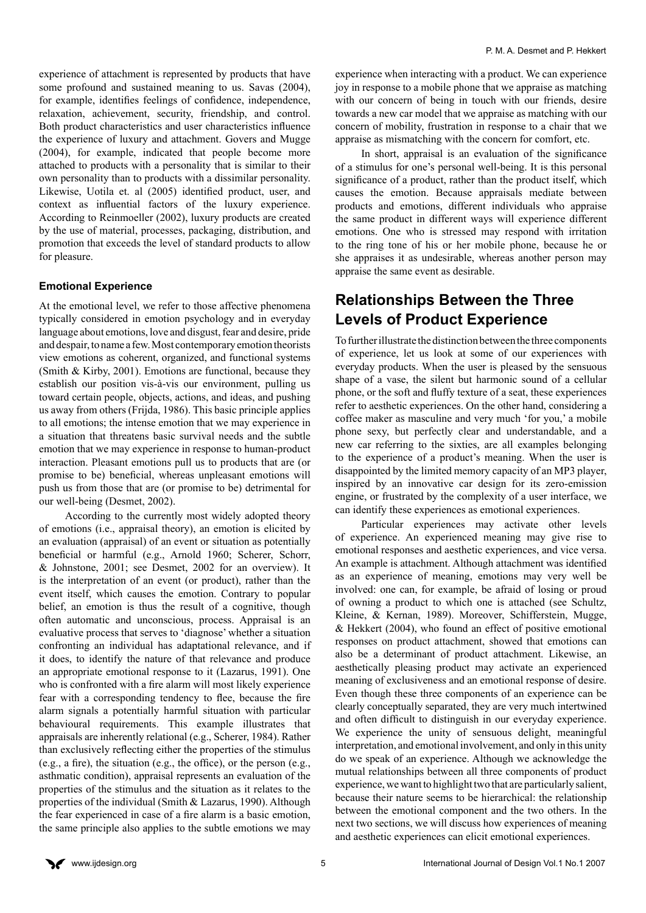experience of attachment is represented by products that have some profound and sustained meaning to us. Savas (2004), for example, identifies feelings of confidence, independence, relaxation, achievement, security, friendship, and control. Both product characteristics and user characteristics influence the experience of luxury and attachment. Govers and Mugge (2004), for example, indicated that people become more attached to products with a personality that is similar to their own personality than to products with a dissimilar personality. Likewise, Uotila et. al (2005) identified product, user, and context as influential factors of the luxury experience. According to Reinmoeller (2002), luxury products are created by the use of material, processes, packaging, distribution, and promotion that exceeds the level of standard products to allow for pleasure.

#### **Emotional Experience**

At the emotional level, we refer to those affective phenomena typically considered in emotion psychology and in everyday language about emotions, love and disgust, fear and desire, pride and despair, to name a few. Most contemporary emotion theorists view emotions as coherent, organized, and functional systems (Smith & Kirby, 2001). Emotions are functional, because they establish our position vis-à-vis our environment, pulling us toward certain people, objects, actions, and ideas, and pushing us away from others (Frijda, 1986). This basic principle applies to all emotions; the intense emotion that we may experience in a situation that threatens basic survival needs and the subtle emotion that we may experience in response to human-product interaction. Pleasant emotions pull us to products that are (or promise to be) beneficial, whereas unpleasant emotions will push us from those that are (or promise to be) detrimental for our well-being (Desmet, 2002).

According to the currently most widely adopted theory of emotions (i.e., appraisal theory), an emotion is elicited by an evaluation (appraisal) of an event or situation as potentially beneficial or harmful (e.g., Arnold 1960; Scherer, Schorr, & Johnstone, 2001; see Desmet, 2002 for an overview). It is the interpretation of an event (or product), rather than the event itself, which causes the emotion. Contrary to popular belief, an emotion is thus the result of a cognitive, though often automatic and unconscious, process. Appraisal is an evaluative process that serves to 'diagnose' whether a situation confronting an individual has adaptational relevance, and if it does, to identify the nature of that relevance and produce an appropriate emotional response to it (Lazarus, 1991). One who is confronted with a fire alarm will most likely experience fear with a corresponding tendency to flee, because the fire alarm signals a potentially harmful situation with particular behavioural requirements. This example illustrates that appraisals are inherently relational (e.g., Scherer, 1984). Rather than exclusively reflecting either the properties of the stimulus (e.g., a fire), the situation (e.g., the office), or the person (e.g., asthmatic condition), appraisal represents an evaluation of the properties of the stimulus and the situation as it relates to the properties of the individual (Smith & Lazarus, 1990). Although the fear experienced in case of a fire alarm is a basic emotion, the same principle also applies to the subtle emotions we may experience when interacting with a product. We can experience joy in response to a mobile phone that we appraise as matching with our concern of being in touch with our friends, desire towards a new car model that we appraise as matching with our concern of mobility, frustration in response to a chair that we appraise as mismatching with the concern for comfort, etc.

In short, appraisal is an evaluation of the significance of a stimulus for one's personal well-being. It is this personal significance of a product, rather than the product itself, which causes the emotion. Because appraisals mediate between products and emotions, different individuals who appraise the same product in different ways will experience different emotions. One who is stressed may respond with irritation to the ring tone of his or her mobile phone, because he or she appraises it as undesirable, whereas another person may appraise the same event as desirable.

# **Relationships Between the Three Levels of Product Experience**

To further illustrate the distinction between the three components of experience, let us look at some of our experiences with everyday products. When the user is pleased by the sensuous shape of a vase, the silent but harmonic sound of a cellular phone, or the soft and fluffy texture of a seat, these experiences refer to aesthetic experiences. On the other hand, considering a coffee maker as masculine and very much 'for you,' a mobile phone sexy, but perfectly clear and understandable, and a new car referring to the sixties, are all examples belonging to the experience of a product's meaning. When the user is disappointed by the limited memory capacity of an MP3 player, inspired by an innovative car design for its zero-emission engine, or frustrated by the complexity of a user interface, we can identify these experiences as emotional experiences.

Particular experiences may activate other levels of experience. An experienced meaning may give rise to emotional responses and aesthetic experiences, and vice versa. An example is attachment. Although attachment was identified as an experience of meaning, emotions may very well be involved: one can, for example, be afraid of losing or proud of owning a product to which one is attached (see Schultz, Kleine, & Kernan, 1989). Moreover, Schifferstein, Mugge, & Hekkert (2004), who found an effect of positive emotional responses on product attachment, showed that emotions can also be a determinant of product attachment. Likewise, an aesthetically pleasing product may activate an experienced meaning of exclusiveness and an emotional response of desire. Even though these three components of an experience can be clearly conceptually separated, they are very much intertwined and often difficult to distinguish in our everyday experience. We experience the unity of sensuous delight, meaningful interpretation, and emotional involvement, and only in this unity do we speak of an experience. Although we acknowledge the mutual relationships between all three components of product experience, we want to highlight two that are particularly salient, because their nature seems to be hierarchical: the relationship between the emotional component and the two others. In the next two sections, we will discuss how experiences of meaning and aesthetic experiences can elicit emotional experiences.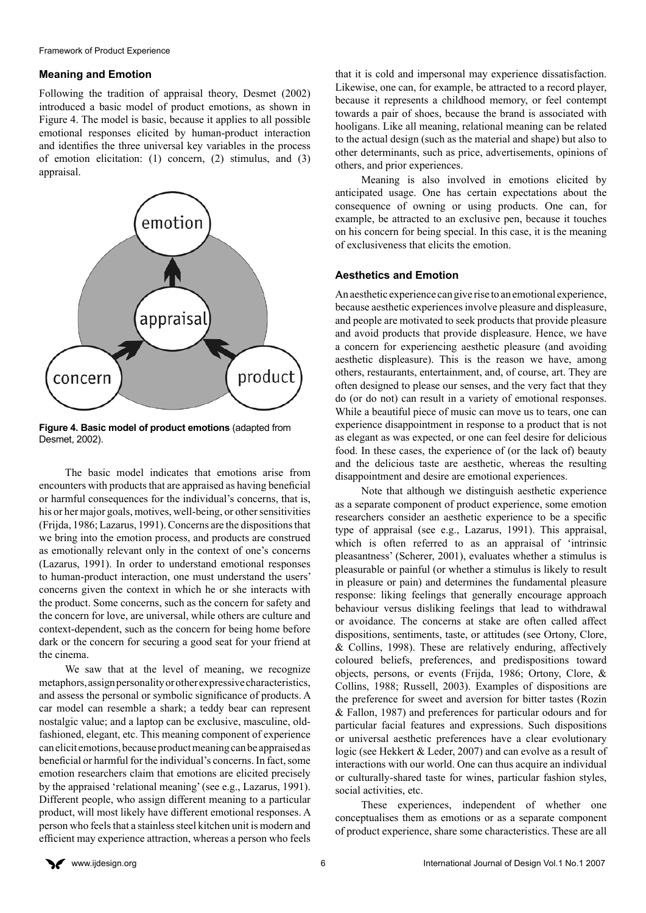#### **Meaning and Emotion**

Following the tradition of appraisal theory, Desmet (2002) introduced a basic model of product emotions, as shown in Figure 4. The model is basic, because it applies to all possible emotional responses elicited by human-product interaction and identifies the three universal key variables in the process of emotion elicitation: (1) concern, (2) stimulus, and (3) appraisal.



**Figure 4. Basic model of product emotions** (adapted from Desmet, 2002).

The basic model indicates that emotions arise from encounters with products that are appraised as having beneficial or harmful consequences for the individual's concerns, that is, his or her major goals, motives, well-being, or other sensitivities (Frijda, 1986; Lazarus, 1991). Concerns are the dispositions that we bring into the emotion process, and products are construed as emotionally relevant only in the context of one's concerns (Lazarus, 1991). In order to understand emotional responses to human-product interaction, one must understand the users' concerns given the context in which he or she interacts with the product. Some concerns, such as the concern for safety and the concern for love, are universal, while others are culture and context-dependent, such as the concern for being home before dark or the concern for securing a good seat for your friend at the cinema.

We saw that at the level of meaning, we recognize metaphors, assign personality or other expressive characteristics, and assess the personal or symbolic significance of products. A car model can resemble a shark; a teddy bear can represent nostalgic value; and a laptop can be exclusive, masculine, oldfashioned, elegant, etc. This meaning component of experience can elicit emotions, because product meaning can be appraised as beneficial or harmful for the individual's concerns. In fact, some emotion researchers claim that emotions are elicited precisely by the appraised 'relational meaning' (see e.g., Lazarus, 1991). Different people, who assign different meaning to a particular product, will most likely have different emotional responses. A person who feels that a stainless steel kitchen unit is modern and efficient may experience attraction, whereas a person who feels

that it is cold and impersonal may experience dissatisfaction. Likewise, one can, for example, be attracted to a record player, because it represents a childhood memory, or feel contempt towards a pair of shoes, because the brand is associated with hooligans. Like all meaning, relational meaning can be related to the actual design (such as the material and shape) but also to other determinants, such as price, advertisements, opinions of others, and prior experiences.

Meaning is also involved in emotions elicited by anticipated usage. One has certain expectations about the consequence of owning or using products. One can, for example, be attracted to an exclusive pen, because it touches on his concern for being special. In this case, it is the meaning of exclusiveness that elicits the emotion.

#### **Aesthetics and Emotion**

An aesthetic experience can give rise to an emotional experience, because aesthetic experiences involve pleasure and displeasure, and people are motivated to seek products that provide pleasure and avoid products that provide displeasure. Hence, we have a concern for experiencing aesthetic pleasure (and avoiding aesthetic displeasure). This is the reason we have, among others, restaurants, entertainment, and, of course, art. They are often designed to please our senses, and the very fact that they do (or do not) can result in a variety of emotional responses. While a beautiful piece of music can move us to tears, one can experience disappointment in response to a product that is not as elegant as was expected, or one can feel desire for delicious food. In these cases, the experience of (or the lack of) beauty and the delicious taste are aesthetic, whereas the resulting disappointment and desire are emotional experiences.

Note that although we distinguish aesthetic experience as a separate component of product experience, some emotion researchers consider an aesthetic experience to be a specific type of appraisal (see e.g., Lazarus, 1991). This appraisal, which is often referred to as an appraisal of 'intrinsic pleasantness' (Scherer, 2001), evaluates whether a stimulus is pleasurable or painful (or whether a stimulus is likely to result in pleasure or pain) and determines the fundamental pleasure response: liking feelings that generally encourage approach behaviour versus disliking feelings that lead to withdrawal or avoidance. The concerns at stake are often called affect dispositions, sentiments, taste, or attitudes (see Ortony, Clore, & Collins, 1998). These are relatively enduring, affectively coloured beliefs, preferences, and predispositions toward objects, persons, or events (Frijda, 1986; Ortony, Clore, & Collins, 1988; Russell, 2003). Examples of dispositions are the preference for sweet and aversion for bitter tastes (Rozin & Fallon, 1987) and preferences for particular odours and for particular facial features and expressions. Such dispositions or universal aesthetic preferences have a clear evolutionary logic (see Hekkert & Leder, 2007) and can evolve as a result of interactions with our world. One can thus acquire an individual or culturally-shared taste for wines, particular fashion styles, social activities, etc.

These experiences, independent of whether one conceptualises them as emotions or as a separate component of product experience, share some characteristics. These are all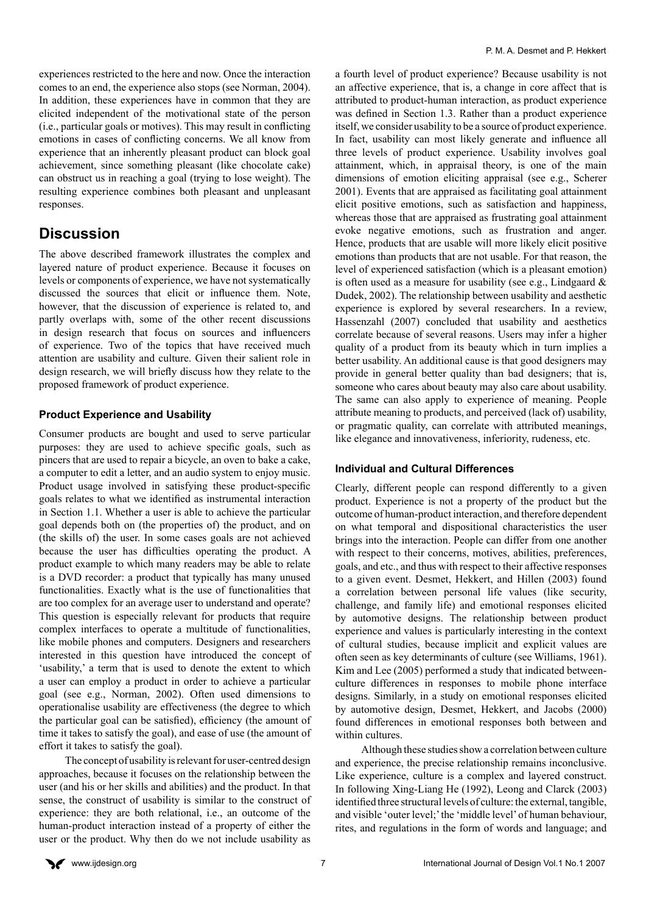experiences restricted to the here and now. Once the interaction comes to an end, the experience also stops (see Norman, 2004). In addition, these experiences have in common that they are elicited independent of the motivational state of the person (i.e., particular goals or motives). This may result in conflicting emotions in cases of conflicting concerns. We all know from experience that an inherently pleasant product can block goal achievement, since something pleasant (like chocolate cake) can obstruct us in reaching a goal (trying to lose weight). The resulting experience combines both pleasant and unpleasant responses.

## **Discussion**

The above described framework illustrates the complex and layered nature of product experience. Because it focuses on levels or components of experience, we have not systematically discussed the sources that elicit or influence them. Note, however, that the discussion of experience is related to, and partly overlaps with, some of the other recent discussions in design research that focus on sources and influencers of experience. Two of the topics that have received much attention are usability and culture. Given their salient role in design research, we will briefly discuss how they relate to the proposed framework of product experience.

#### **Product Experience and Usability**

Consumer products are bought and used to serve particular purposes: they are used to achieve specific goals, such as pincers that are used to repair a bicycle, an oven to bake a cake, a computer to edit a letter, and an audio system to enjoy music. Product usage involved in satisfying these product-specific goals relates to what we identified as instrumental interaction in Section 1.1. Whether a user is able to achieve the particular goal depends both on (the properties of) the product, and on (the skills of) the user. In some cases goals are not achieved because the user has difficulties operating the product. A product example to which many readers may be able to relate is a DVD recorder: a product that typically has many unused functionalities. Exactly what is the use of functionalities that are too complex for an average user to understand and operate? This question is especially relevant for products that require complex interfaces to operate a multitude of functionalities, like mobile phones and computers. Designers and researchers interested in this question have introduced the concept of 'usability,' a term that is used to denote the extent to which a user can employ a product in order to achieve a particular goal (see e.g., Norman, 2002). Often used dimensions to operationalise usability are effectiveness (the degree to which the particular goal can be satisfied), efficiency (the amount of time it takes to satisfy the goal), and ease of use (the amount of effort it takes to satisfy the goal).

The concept of usability is relevant for user-centred design approaches, because it focuses on the relationship between the user (and his or her skills and abilities) and the product. In that sense, the construct of usability is similar to the construct of experience: they are both relational, i.e., an outcome of the human-product interaction instead of a property of either the user or the product. Why then do we not include usability as

a fourth level of product experience? Because usability is not an affective experience, that is, a change in core affect that is attributed to product-human interaction, as product experience was defined in Section 1.3. Rather than a product experience itself, we consider usability to be a source of product experience. In fact, usability can most likely generate and influence all three levels of product experience. Usability involves goal attainment, which, in appraisal theory, is one of the main dimensions of emotion eliciting appraisal (see e.g., Scherer 2001). Events that are appraised as facilitating goal attainment elicit positive emotions, such as satisfaction and happiness, whereas those that are appraised as frustrating goal attainment evoke negative emotions, such as frustration and anger. Hence, products that are usable will more likely elicit positive emotions than products that are not usable. For that reason, the level of experienced satisfaction (which is a pleasant emotion) is often used as a measure for usability (see e.g., Lindgaard  $\&$ Dudek, 2002). The relationship between usability and aesthetic experience is explored by several researchers. In a review, Hassenzahl (2007) concluded that usability and aesthetics correlate because of several reasons. Users may infer a higher quality of a product from its beauty which in turn implies a better usability. An additional cause is that good designers may provide in general better quality than bad designers; that is, someone who cares about beauty may also care about usability. The same can also apply to experience of meaning. People attribute meaning to products, and perceived (lack of) usability, or pragmatic quality, can correlate with attributed meanings, like elegance and innovativeness, inferiority, rudeness, etc.

#### **Individual and Cultural Differences**

Clearly, different people can respond differently to a given product. Experience is not a property of the product but the outcome of human-product interaction, and therefore dependent on what temporal and dispositional characteristics the user brings into the interaction. People can differ from one another with respect to their concerns, motives, abilities, preferences, goals, and etc., and thus with respect to their affective responses to a given event. Desmet, Hekkert, and Hillen (2003) found a correlation between personal life values (like security, challenge, and family life) and emotional responses elicited by automotive designs. The relationship between product experience and values is particularly interesting in the context of cultural studies, because implicit and explicit values are often seen as key determinants of culture (see Williams, 1961). Kim and Lee (2005) performed a study that indicated betweenculture differences in responses to mobile phone interface designs. Similarly, in a study on emotional responses elicited by automotive design, Desmet, Hekkert, and Jacobs (2000) found differences in emotional responses both between and within cultures.

Although these studies show a correlation between culture and experience, the precise relationship remains inconclusive. Like experience, culture is a complex and layered construct. In following Xing-Liang He (1992), Leong and Clarck (2003) identified three structural levels of culture: the external, tangible, and visible 'outer level;' the 'middle level' of human behaviour, rites, and regulations in the form of words and language; and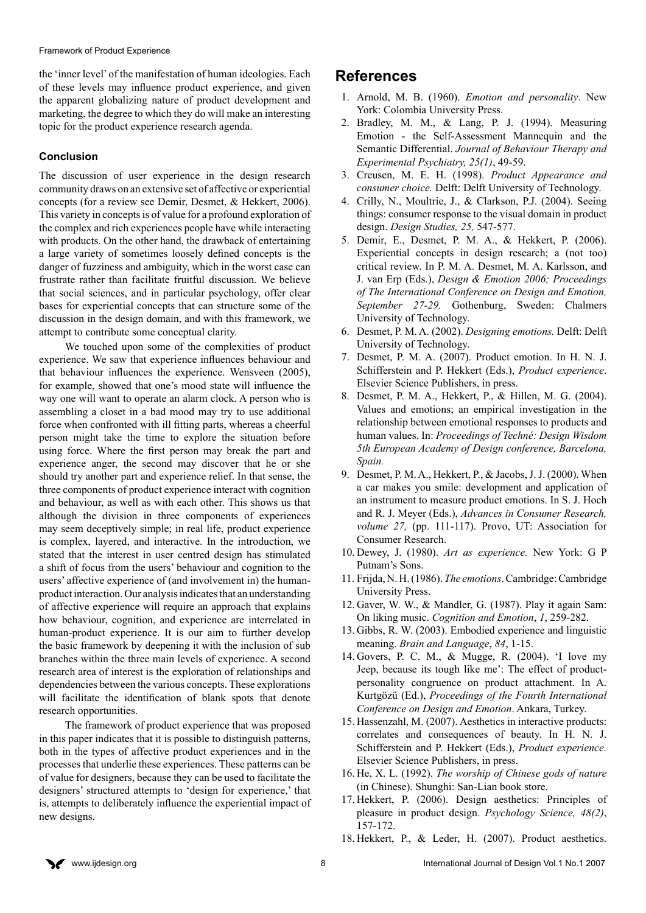the 'inner level' of the manifestation of human ideologies. Each of these levels may influence product experience, and given the apparent globalizing nature of product development and marketing, the degree to which they do will make an interesting topic for the product experience research agenda.

#### **Conclusion**

The discussion of user experience in the design research community draws on an extensive set of affective or experiential concepts (for a review see Demir, Desmet, & Hekkert, 2006). This variety in concepts is of value for a profound exploration of the complex and rich experiences people have while interacting with products. On the other hand, the drawback of entertaining a large variety of sometimes loosely defined concepts is the danger of fuzziness and ambiguity, which in the worst case can frustrate rather than facilitate fruitful discussion. We believe that social sciences, and in particular psychology, offer clear bases for experiential concepts that can structure some of the discussion in the design domain, and with this framework, we attempt to contribute some conceptual clarity.

We touched upon some of the complexities of product experience. We saw that experience influences behaviour and that behaviour influences the experience. Wensveen (2005), for example, showed that one's mood state will influence the way one will want to operate an alarm clock. A person who is assembling a closet in a bad mood may try to use additional force when confronted with ill fitting parts, whereas a cheerful person might take the time to explore the situation before using force. Where the first person may break the part and experience anger, the second may discover that he or she should try another part and experience relief. In that sense, the three components of product experience interact with cognition and behaviour, as well as with each other. This shows us that although the division in three components of experiences may seem deceptively simple; in real life, product experience is complex, layered, and interactive. In the introduction, we stated that the interest in user centred design has stimulated a shift of focus from the users' behaviour and cognition to the users' affective experience of (and involvement in) the humanproduct interaction. Our analysis indicates that an understanding of affective experience will require an approach that explains how behaviour, cognition, and experience are interrelated in human-product experience. It is our aim to further develop the basic framework by deepening it with the inclusion of sub branches within the three main levels of experience. A second research area of interest is the exploration of relationships and dependencies between the various concepts. These explorations will facilitate the identification of blank spots that denote research opportunities.

The framework of product experience that was proposed in this paper indicates that it is possible to distinguish patterns, both in the types of affective product experiences and in the processes that underlie these experiences. These patterns can be of value for designers, because they can be used to facilitate the designers' structured attempts to 'design for experience,' that is, attempts to deliberately influence the experiential impact of new designs.

### **References**

- 1. Arnold, M. B. (1960). *Emotion and personality*. New York: Colombia University Press.
- 2. Bradley, M. M., & Lang, P. J. (1994). Measuring Emotion - the Self-Assessment Mannequin and the Semantic Differential. *Journal of Behaviour Therapy and Experimental Psychiatry, 25(1)*, 49-59.
- 3. Creusen, M. E. H. (1998). *Product Appearance and consumer choice.* Delft: Delft University of Technology.
- 4. Crilly, N., Moultrie, J., & Clarkson, P.J. (2004). Seeing things: consumer response to the visual domain in product design. *Design Studies, 25,* 547-577.
- 5. Demir, E., Desmet, P. M. A., & Hekkert, P. (2006). Experiential concepts in design research; a (not too) critical review. In P. M. A. Desmet, M. A. Karlsson, and J. van Erp (Eds.), *Design & Emotion 2006; Proceedings of The International Conference on Design and Emotion, September 27-29.* Gothenburg, Sweden: Chalmers University of Technology.
- 6. Desmet, P. M. A. (2002). *Designing emotions.* Delft: Delft University of Technology.
- 7. Desmet, P. M. A. (2007). Product emotion. In H. N. J. Schifferstein and P. Hekkert (Eds.), *Product experience*. Elsevier Science Publishers, in press.
- 8. Desmet, P. M. A., Hekkert, P., & Hillen, M. G. (2004). Values and emotions; an empirical investigation in the relationship between emotional responses to products and human values. In: *Proceedings of Techné: Design Wisdom 5th European Academy of Design conference, Barcelona, Spain.*
- 9. Desmet, P. M. A., Hekkert, P., & Jacobs, J. J. (2000). When a car makes you smile: development and application of an instrument to measure product emotions. In S. J. Hoch and R. J. Meyer (Eds.), *Advances in Consumer Research, volume 27, (pp. 111-117). Provo, UT: Association for* Consumer Research.
- 10. Dewey, J. (1980). *Art as experience.* New York: G P Putnam's Sons.
- 11. Frijda, N. H. (1986). *The emotions*. Cambridge: Cambridge University Press.
- 12. Gaver, W. W., & Mandler, G. (1987). Play it again Sam: On liking music. *Cognition and Emotion*, *1*, 259-282.
- 13. Gibbs, R. W. (2003). Embodied experience and linguistic meaning. *Brain and Language*, *84*, 1-15.
- 14. Govers, P. C. M., & Mugge, R. (2004). 'I love my Jeep, because its tough like me': The effect of productpersonality congruence on product attachment. In A. Kurtgözü (Ed.), *Proceedings of the Fourth International Conference on Design and Emotion*. Ankara, Turkey.
- 15. Hassenzahl, M. (2007). Aesthetics in interactive products: correlates and consequences of beauty. In H. N. J. Schifferstein and P. Hekkert (Eds.), *Product experience.*  Elsevier Science Publishers, in press.
- 16. He, X. L. (1992). *The worship of Chinese gods of nature* (in Chinese). Shunghi: San-Lian book store.
- 17. Hekkert, P. (2006). Design aesthetics: Principles of pleasure in product design. *Psychology Science, 48(2)*, 157-172.
- 18. Hekkert, P., & Leder, H. (2007). Product aesthetics.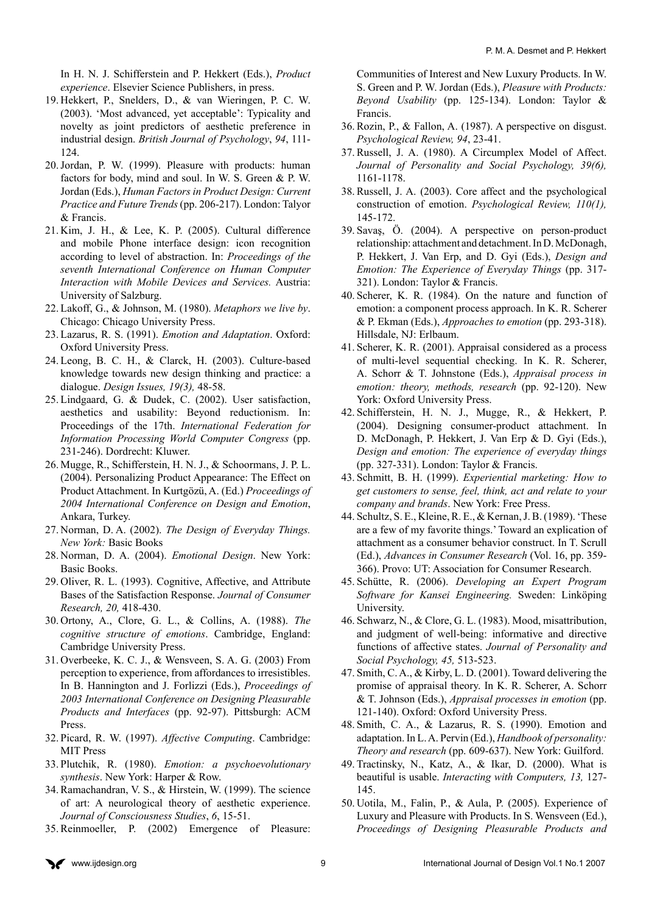In H. N. J. Schifferstein and P. Hekkert (Eds.), *Product experience*. Elsevier Science Publishers, in press.

- 19. Hekkert, P., Snelders, D., & van Wieringen, P. C. W. (2003). 'Most advanced, yet acceptable': Typicality and novelty as joint predictors of aesthetic preference in industrial design. *British Journal of Psychology*, *94*, 111- 124.
- 20.Jordan, P. W. (1999). Pleasure with products: human factors for body, mind and soul. In W. S. Green & P. W. Jordan (Eds.), *Human Factors in Product Design: Current Practice and Future Trends* (pp. 206-217). London: Talyor & Francis.
- 21. Kim, J. H., & Lee, K. P. (2005). Cultural difference and mobile Phone interface design: icon recognition according to level of abstraction. In: *Proceedings of the seventh International Conference on Human Computer Interaction with Mobile Devices and Services.* Austria: University of Salzburg.
- 22. Lakoff, G., & Johnson, M. (1980). *Metaphors we live by*. Chicago: Chicago University Press.
- 23. Lazarus, R. S. (1991). *Emotion and Adaptation*. Oxford: Oxford University Press.
- 24. Leong, B. C. H., & Clarck, H. (2003). Culture-based knowledge towards new design thinking and practice: a dialogue. *Design Issues, 19(3),* 48-58.
- 25. Lindgaard, G. & Dudek, C. (2002). User satisfaction, aesthetics and usability: Beyond reductionism. In: Proceedings of the 17th. *International Federation for Information Processing World Computer Congress* (pp. 231-246). Dordrecht: Kluwer.
- 26. Mugge, R., Schifferstein, H. N. J., & Schoormans, J. P. L. (2004). Personalizing Product Appearance: The Effect on Product Attachment. In Kurtgözü, A. (Ed.) *Proceedings of 2004 International Conference on Design and Emotion*, Ankara, Turkey.
- 27. Norman, D. A. (2002). *The Design of Everyday Things. New York:* Basic Books
- 28. Norman, D. A. (2004). *Emotional Design*. New York: Basic Books.
- 29. Oliver, R. L. (1993). Cognitive, Affective, and Attribute Bases of the Satisfaction Response. *Journal of Consumer Research, 20,* 418-430.
- 30. Ortony, A., Clore, G. L., & Collins, A. (1988). *The cognitive structure of emotions*. Cambridge, England: Cambridge University Press.
- 31. Overbeeke, K. C. J., & Wensveen, S. A. G. (2003) From perception to experience, from affordances to irresistibles. In B. Hannington and J. Forlizzi (Eds.), *Proceedings of 2003 International Conference on Designing Pleasurable Products and Interfaces* (pp. 92-97). Pittsburgh: ACM Press.
- 32. Picard, R. W. (1997). *Affective Computing*. Cambridge: MIT Press
- 33. Plutchik, R. (1980). *Emotion: a psychoevolutionary synthesis*. New York: Harper & Row.
- 34. Ramachandran, V. S., & Hirstein, W. (1999). The science of art: A neurological theory of aesthetic experience. *Journal of Consciousness Studies*, *6*, 15-51.
- 35. Reinmoeller, P. (2002) Emergence of Pleasure:

Communities of Interest and New Luxury Products. In W. S. Green and P. W. Jordan (Eds.), *Pleasure with Products: Beyond Usability* (pp. 125-134). London: Taylor & Francis.

- 36. Rozin, P., & Fallon, A. (1987). A perspective on disgust. *Psychological Review, 94*, 23-41.
- 37. Russell, J. A. (1980). A Circumplex Model of Affect. *Journal of Personality and Social Psychology, 39(6),* 1161-1178.
- 38. Russell, J. A. (2003). Core affect and the psychological construction of emotion. *Psychological Review, 110(1),* 145-172.
- 39. Savaş, Ö. (2004). A perspective on person-product relationship: attachment and detachment. In D. McDonagh, P. Hekkert, J. Van Erp, and D. Gyi (Eds.), *Design and Emotion: The Experience of Everyday Things* (pp. 317- 321). London: Taylor & Francis.
- 40. Scherer, K. R. (1984). On the nature and function of emotion: a component process approach. In K. R. Scherer & P. Ekman (Eds.), *Approaches to emotion* (pp. 293-318). Hillsdale, NJ: Erlbaum.
- 41. Scherer, K. R. (2001). Appraisal considered as a process of multi-level sequential checking. In K. R. Scherer, A. Schorr & T. Johnstone (Eds.), *Appraisal process in emotion: theory, methods, research* (pp. 92-120). New York: Oxford University Press.
- 42. Schifferstein, H. N. J., Mugge, R., & Hekkert, P. (2004). Designing consumer-product attachment. In D. McDonagh, P. Hekkert, J. Van Erp & D. Gyi (Eds.), *Design and emotion: The experience of everyday things* (pp. 327-331). London: Taylor & Francis.
- 43. Schmitt, B. H. (1999). *Experiential marketing: How to get customers to sense, feel, think, act and relate to your company and brands*. New York: Free Press.
- 44. Schultz, S. E., Kleine, R. E., & Kernan, J. B. (1989). 'These are a few of my favorite things.' Toward an explication of attachment as a consumer behavior construct. In T. Scrull (Ed.), *Advances in Consumer Research* (Vol. 16, pp. 359- 366). Provo: UT: Association for Consumer Research.
- 45. Schütte, R. (2006). *Developing an Expert Program Software for Kansei Engineering.* Sweden: Linköping University.
- 46. Schwarz, N., & Clore, G. L. (1983). Mood, misattribution, and judgment of well-being: informative and directive functions of affective states. *Journal of Personality and Social Psychology, 45,* 513-523.
- 47. Smith, C. A., & Kirby, L. D. (2001). Toward delivering the promise of appraisal theory. In K. R. Scherer, A. Schorr & T. Johnson (Eds.), *Appraisal processes in emotion* (pp. 121-140). Oxford: Oxford University Press.
- 48. Smith, C. A., & Lazarus, R. S. (1990). Emotion and adaptation. In L. A. Pervin (Ed.), *Handbook of personality: Theory and research* (pp. 609-637). New York: Guilford.
- 49. Tractinsky, N., Katz, A., & Ikar, D. (2000). What is beautiful is usable. *Interacting with Computers, 13,* 127- 145.
- 50. Uotila, M., Falin, P., & Aula, P. (2005). Experience of Luxury and Pleasure with Products. In S. Wensveen (Ed.), *Proceedings of Designing Pleasurable Products and*